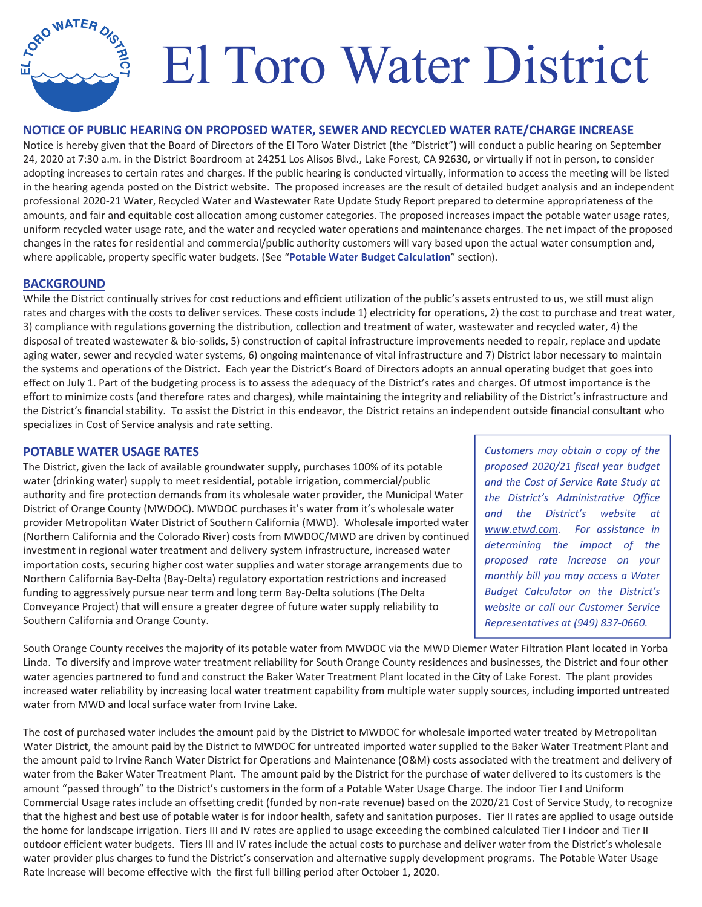# El Toro Water District

#### **NOTICE OF PUBLIC HEARING ON PROPOSED WATER, SEWER AND RECYCLED WATER RATE/CHARGE INCREASE**

Notice is hereby given that the Board of Directors of the El Toro Water District (the "District") will conduct a public hearing on September 24, 2020 at 7:30 a.m. in the District Boardroom at 24251 Los Alisos Blvd., Lake Forest, CA 92630, or virtually if not in person, to consider adopting increases to certain rates and charges. If the public hearing is conducted virtually, information to access the meeting will be listed in the hearing agenda posted on the District website. The proposed increases are the result of detailed budget analysis and an independent professional 2020-21 Water, Recycled Water and Wastewater Rate Update Study Report prepared to determine appropriateness of the amounts, and fair and equitable cost allocation among customer categories. The proposed increases impact the potable water usage rates, uniform recycled water usage rate, and the water and recycled water operations and maintenance charges. The net impact of the proposed changes in the rates for residential and commercial/public authority customers will vary based upon the actual water consumption and, where applicable, property specific water budgets. (See "**Potable Water Budget Calculation**" section).

#### **BACKGROUND**

**ORO WATER** 

While the District continually strives for cost reductions and efficient utilization of the public's assets entrusted to us, we still must align rates and charges with the costs to deliver services. These costs include 1) electricity for operations, 2) the cost to purchase and treat water, 3) compliance with regulations governing the distribution, collection and treatment of water, wastewater and recycled water, 4) the disposal of treated wastewater & bio-solids, 5) construction of capital infrastructure improvements needed to repair, replace and update aging water, sewer and recycled water systems, 6) ongoing maintenance of vital infrastructure and 7) District labor necessary to maintain the systems and operations of the District. Each year the District's Board of Directors adopts an annual operating budget that goes into effect on July 1. Part of the budgeting process is to assess the adequacy of the District's rates and charges. Of utmost importance is the effort to minimize costs (and therefore rates and charges), while maintaining the integrity and reliability of the District's infrastructure and the District's financial stability. To assist the District in this endeavor, the District retains an independent outside financial consultant who specializes in Cost of Service analysis and rate setting.

#### **POTABLE WATER USAGE RATES**

The District, given the lack of available groundwater supply, purchases 100% of its potable water (drinking water) supply to meet residential, potable irrigation, commercial/public authority and fire protection demands from its wholesale water provider, the Municipal Water District of Orange County (MWDOC). MWDOC purchases it's water from it's wholesale water provider Metropolitan Water District of Southern California (MWD). Wholesale imported water (Northern California and the Colorado River) costs from MWDOC/MWD are driven by continued investment in regional water treatment and delivery system infrastructure, increased water importation costs, securing higher cost water supplies and water storage arrangements due to Northern California Bay-Delta (Bay-Delta) regulatory exportation restrictions and increased funding to aggressively pursue near term and long term Bay-Delta solutions (The Delta Conveyance Project) that will ensure a greater degree of future water supply reliability to Southern California and Orange County.

*Customers may obtain a copy of the proposed 2020/21 fiscal year budget and the Cost of Service Rate Study at the District's Administrative Office and the District's website at www.etwd.com. For assistance in determining the impact of the proposed rate increase on your monthly bill you may access a Water Budget Calculator on the District's website or call our Customer Service Representatives at (949) 837Ͳ0660.* 

South Orange County receives the majority of its potable water from MWDOC via the MWD Diemer Water Filtration Plant located in Yorba Linda. To diversify and improve water treatment reliability for South Orange County residences and businesses, the District and four other water agencies partnered to fund and construct the Baker Water Treatment Plant located in the City of Lake Forest. The plant provides increased water reliability by increasing local water treatment capability from multiple water supply sources, including imported untreated water from MWD and local surface water from Irvine Lake.

The cost of purchased water includes the amount paid by the District to MWDOC for wholesale imported water treated by Metropolitan Water District, the amount paid by the District to MWDOC for untreated imported water supplied to the Baker Water Treatment Plant and the amount paid to Irvine Ranch Water District for Operations and Maintenance (O&M) costs associated with the treatment and delivery of water from the Baker Water Treatment Plant. The amount paid by the District for the purchase of water delivered to its customers is the amount "passed through" to the District's customers in the form of a Potable Water Usage Charge. The indoor Tier I and Uniform Commercial Usage rates include an offsetting credit (funded by non-rate revenue) based on the 2020/21 Cost of Service Study, to recognize that the highest and best use of potable water is for indoor health, safety and sanitation purposes. Tier II rates are applied to usage outside the home for landscape irrigation. Tiers III and IV rates are applied to usage exceeding the combined calculated Tier I indoor and Tier II outdoor efficient water budgets. Tiers III and IV rates include the actual costs to purchase and deliver water from the District's wholesale water provider plus charges to fund the District's conservation and alternative supply development programs. The Potable Water Usage Rate Increase will become effective with the first full billing period after October 1, 2020.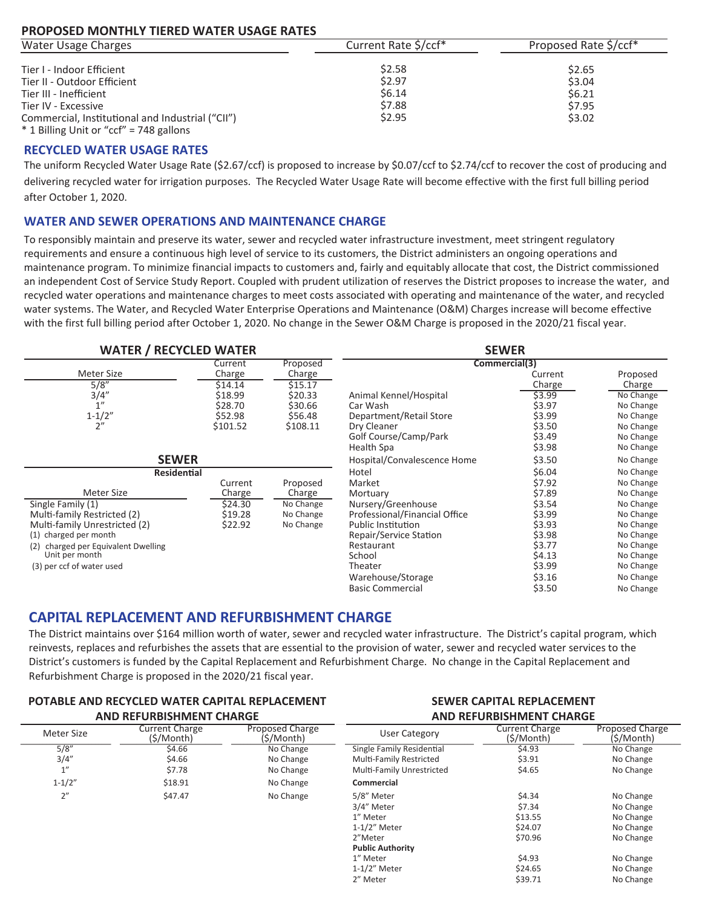#### PROPOSED MONTHLY TIERED WATER USAGE RATES

| Water Usage Charges                              | Current Rate \$/ccf* | Proposed Rate \$/ccf* |  |
|--------------------------------------------------|----------------------|-----------------------|--|
| Tier I - Indoor Efficient                        | \$2.58               | \$2.65                |  |
| Tier II - Outdoor Efficient                      | \$2.97               | \$3.04                |  |
| Tier III - Inefficient                           | \$6.14               | \$6.21                |  |
| Tier IV - Excessive                              | \$7.88               | \$7.95                |  |
| Commercial, Institutional and Industrial ("CII") | \$2.95               | \$3.02                |  |
| * 1 Billing Unit or "ccf" = 748 gallons          |                      |                       |  |

#### **RECYCLED WATER USAGE RATES**

The uniform Recycled Water Usage Rate (\$2.67/ccf) is proposed to increase by \$0.07/ccf to \$2.74/ccf to recover the cost of producing and delivering recycled water for irrigation purposes. The Recycled Water Usage Rate will become effective with the first full billing period after October 1, 2020.

#### **WATER AND SEWER OPERATIONS AND MAINTENANCE CHARGE**

To responsibly maintain and preserve its water, sewer and recycled water infrastructure investment, meet stringent regulatory requirements and ensure a continuous high level of service to its customers, the District administers an ongoing operations and maintenance program. To minimize financial impacts to customers and, fairly and equitably allocate that cost, the District commissioned an independent Cost of Service Study Report. Coupled with prudent utilization of reserves the District proposes to increase the water, and recycled water operations and maintenance charges to meet costs associated with operating and maintenance of the water, and recycled water systems. The Water, and Recycled Water Enterprise Operations and Maintenance (O&M) Charges increase will become effective with the first full billing period after October 1, 2020. No change in the Sewer O&M Charge is proposed in the 2020/21 fiscal year.

| <b>WATER / RECYCLED WATER</b>          |                     |           |                               | <b>SEWER</b> |           |
|----------------------------------------|---------------------|-----------|-------------------------------|--------------|-----------|
|                                        | Proposed<br>Current |           | Commercial(3)                 |              |           |
| Meter Size                             | Charge              | Charge    |                               | Current      | Proposed  |
| 5/8"                                   | \$14.14             | \$15.17   |                               | Charge       | Charge    |
| 3/4''                                  | \$18.99             | \$20.33   | Animal Kennel/Hospital        | \$3.99       | No Change |
| $1^{\prime\prime}$                     | \$28.70             | \$30.66   | Car Wash                      | \$3.97       | No Change |
| $1 - 1/2"$                             | \$52.98             | \$56.48   | Department/Retail Store       | \$3.99       | No Change |
| 2"                                     | \$101.52            | \$108.11  | Dry Cleaner                   | \$3.50       | No Change |
|                                        |                     |           | Golf Course/Camp/Park         | \$3.49       | No Change |
|                                        |                     |           | Health Spa                    | \$3.98       | No Change |
| <b>SEWER</b>                           |                     |           | Hospital/Convalescence Home   | \$3.50       | No Change |
| <b>Residential</b>                     |                     |           | Hotel                         | \$6.04       | No Change |
|                                        | Current             | Proposed  | Market                        | \$7.92       | No Change |
| Meter Size                             | Charge              | Charge    | Mortuary                      | \$7.89       | No Change |
| Single Family (1)                      | \$24.30             | No Change | Nursery/Greenhouse            | \$3.54       | No Change |
| Multi-family Restricted (2)            | \$19.28             | No Change | Professional/Financial Office | \$3.99       | No Change |
| Multi-family Unrestricted (2)          | \$22.92             | No Change | <b>Public Institution</b>     | \$3.93       | No Change |
| (1) charged per month                  |                     |           | Repair/Service Station        | \$3.98       | No Change |
| charged per Equivalent Dwelling<br>(2) |                     |           | Restaurant                    | \$3.77       | No Change |
| Unit per month                         |                     |           | School                        | \$4.13       | No Change |
| (3) per ccf of water used              |                     |           | Theater                       | \$3.99       | No Change |
|                                        |                     |           | Warehouse/Storage             | \$3.16       | No Change |
|                                        |                     |           | <b>Basic Commercial</b>       | \$3.50       | No Change |

### **CAPITAL REPLACEMENT AND REFURBISHMENT CHARGE**

The District maintains over \$164 million worth of water, sewer and recycled water infrastructure. The District's capital program, which reinvests, replaces and refurbishes the assets that are essential to the provision of water, sewer and recycled water services to the District's customers is funded by the Capital Replacement and Refurbishment Charge. No change in the Capital Replacement and Refurbishment Charge is proposed in the 2020/21 fiscal year.

| <b>POTABLE AND RECYCLED WATER CAPITAL REPLACEMENT</b><br><b>AND REFURBISHMENT CHARGE</b> |         | <b>SEWER CAPITAL REPLACEMENT</b><br><b>AND REFURBISHMENT CHARGE</b> |                           |         |           |
|------------------------------------------------------------------------------------------|---------|---------------------------------------------------------------------|---------------------------|---------|-----------|
|                                                                                          |         |                                                                     |                           |         |           |
| 5/8''                                                                                    | \$4.66  | No Change                                                           | Single Family Residential | \$4.93  | No Change |
| 3/4''                                                                                    | \$4.66  | No Change                                                           | Multi-Family Restricted   | \$3.91  | No Change |
| 1''                                                                                      | \$7.78  | No Change                                                           | Multi-Family Unrestricted | \$4.65  | No Change |
| $1 - 1/2"$                                                                               | \$18.91 | No Change                                                           | Commercial                |         |           |
| 2"                                                                                       | \$47.47 | No Change                                                           | 5/8" Meter                | \$4.34  | No Change |
|                                                                                          |         |                                                                     | 3/4" Meter                | \$7.34  | No Change |
|                                                                                          |         |                                                                     | 1" Meter                  | \$13.55 | No Change |
|                                                                                          |         |                                                                     | $1-1/2"$ Meter            | \$24.07 | No Change |
|                                                                                          |         |                                                                     | 2"Meter                   | \$70.96 | No Change |
|                                                                                          |         |                                                                     | <b>Public Authority</b>   |         |           |
|                                                                                          |         |                                                                     | 1" Meter                  | \$4.93  | No Change |
|                                                                                          |         |                                                                     | $1-1/2$ " Meter           | \$24.65 | No Change |
|                                                                                          |         |                                                                     | 2" Meter                  | \$39.71 | No Change |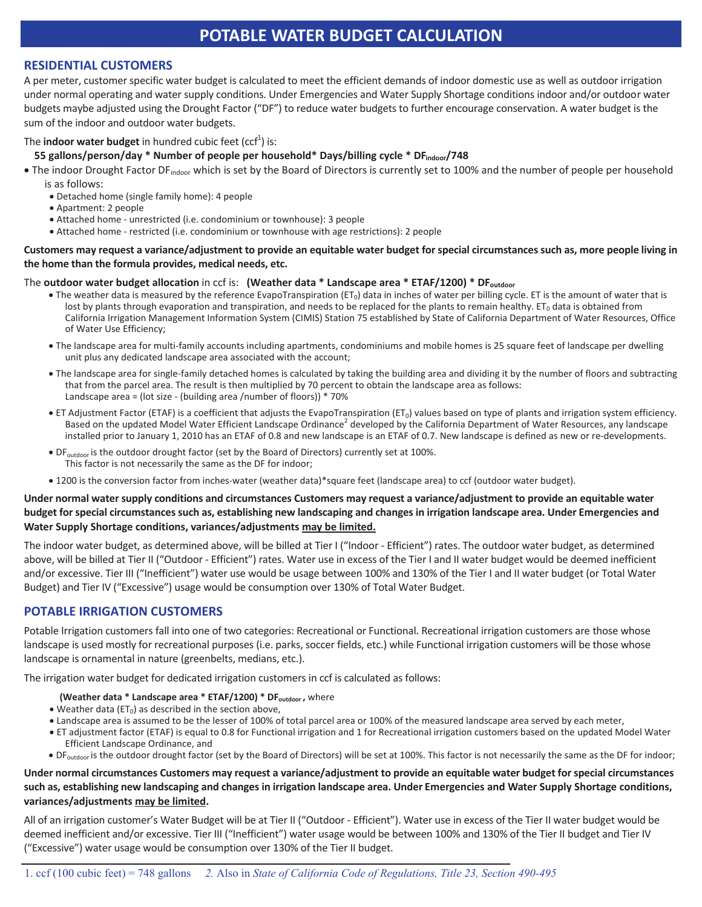## **POTABLE WATER BUDGET CALCULATION**

#### **RESIDENTIAL CUSTOMERS**

A per meter, customer specific water budget is calculated to meet the efficient demands of indoor domestic use as well as outdoor irrigation under normal operating and water supply conditions. Under Emergencies and Water Supply Shortage conditions indoor and/or outdoor water budgets maybe adjusted using the Drought Factor ("DF") to reduce water budgets to further encourage conservation. A water budget is the sum of the indoor and outdoor water budgets.

#### The **indoor water budget** in hundred cubic feet (ccf<sup>1</sup>) is:

#### **55 gallons/person/day \* Number of people per household\* Days/billing cycle \* DFindoor/748**

- The indoor Drought Factor DF<sub>indoor</sub> which is set by the Board of Directors is currently set to 100% and the number of people per household is as follows:
	- Detached home (single family home): 4 people
	- Apartment: 2 people
	- Attached home unrestricted (i.e. condominium or townhouse): 3 people
	- Attached home restricted (i.e. condominium or townhouse with age restrictions): 2 people

#### **Customers may request a variance/adjustment to provide an equitable water budget for special circumstances such as, more people living in the home than the formula provides, medical needs, etc.**

#### The **outdoor water budget allocation** in ccf is: **(Weather data \* Landscape area \* ETAF/1200) \* DFoutdoor**

- The weather data is measured by the reference EvapoTranspiration (ET<sub>0</sub>) data in inches of water per billing cycle. ET is the amount of water that is lost by plants through evaporation and transpiration, and needs to be replaced for the plants to remain healthy.  $ET_0$  data is obtained from California Irrigation Management Information System (CIMIS) Station 75 established by State of California Department of Water Resources, Office of Water Use Efficiency;
- The landscape area for multi-family accounts including apartments, condominiums and mobile homes is 25 square feet of landscape per dwelling unit plus any dedicated landscape area associated with the account;
- The landscape area for single-family detached homes is calculated by taking the building area and dividing it by the number of floors and subtracting that from the parcel area. The result is then multiplied by 70 percent to obtain the landscape area as follows: Landscape area = (lot size - (building area /number of floors)) \* 70%
- ET Adjustment Factor (ETAF) is a coefficient that adjusts the EvapoTranspiration (ET<sub>0</sub>) values based on type of plants and irrigation system efficiency. Based on the updated Model Water Efficient Landscape Ordinance<sup>2</sup> developed by the California Department of Water Resources, any landscape installed prior to January 1, 2010 has an ETAF of 0.8 and new landscape is an ETAF of 0.7. New landscape is defined as new or re-developments.
- DF<sub>outdoor</sub> is the outdoor drought factor (set by the Board of Directors) currently set at 100%. This factor is not necessarily the same as the DF for indoor;
- 1200 is the conversion factor from inches-water (weather data)\*square feet (landscape area) to ccf (outdoor water budget).

#### **Under normal water supply conditions and circumstances Customers may request a variance/adjustment to provide an equitable water budget for special circumstances such as, establishing new landscaping and changes in irrigation landscape area. Under Emergencies and Water Supply Shortage conditions, variances/adjustments may be limited.**

The indoor water budget, as determined above, will be billed at Tier I ("Indoor - Efficient") rates. The outdoor water budget, as determined above, will be billed at Tier II ("Outdoor - Efficient") rates. Water use in excess of the Tier I and II water budget would be deemed inefficient and/or excessive. Tier III ("Inefficient") water use would be usage between 100% and 130% of the Tier I and II water budget (or Total Water Budget) and Tier IV ("Excessive") usage would be consumption over 130% of Total Water Budget.

#### **POTABLE IRRIGATION CUSTOMERS**

Potable Irrigation customers fall into one of two categories: Recreational or Functional. Recreational irrigation customers are those whose landscape is used mostly for recreational purposes (i.e. parks, soccer fields, etc.) while Functional irrigation customers will be those whose landscape is ornamental in nature (greenbelts, medians, etc.).

The irrigation water budget for dedicated irrigation customers in ccf is calculated as follows:

- **(Weather data \* Landscape area \* ETAF/1200) \* DF**<sub>outdoor</sub>, where
- $\bullet$  Weather data (ET<sub>0</sub>) as described in the section above,
- x Landscape area is assumed to be the lesser of 100% of total parcel area or 100% of the measured landscape area served by each meter,
- x ET adjustment factor (ETAF) is equal to 0.8 for Functional irrigation and 1 for Recreational irrigation customers based on the updated Model Water Efficient Landscape Ordinance, and
- · DF<sub>outdoor</sub> is the outdoor drought factor (set by the Board of Directors) will be set at 100%. This factor is not necessarily the same as the DF for indoor;

#### **Under normal circumstances Customers may request a variance/adjustment to provide an equitable water budget for special circumstances such as, establishing new landscaping and changes in irrigation landscape area. Under Emergencies and Water Supply Shortage conditions, variances/adjustments may be limited.**

All of an irrigation customer's Water Budget will be at Tier II ("Outdoor - Efficient"). Water use in excess of the Tier II water budget would be deemed inefficient and/or excessive. Tier III ("Inefficient") water usage would be between 100% and 130% of the Tier II budget and Tier IV ("Excessive") water usage would be consumption over 130% of the Tier II budget.